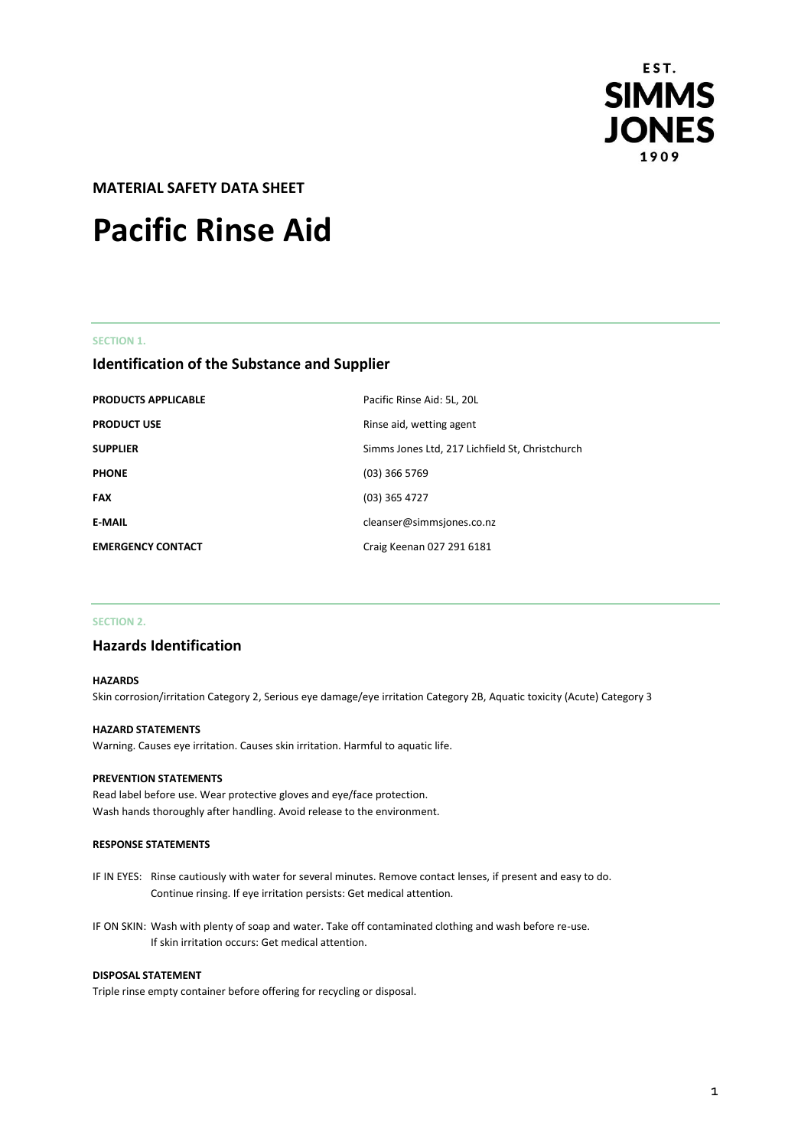

**MATERIAL SAFETY DATA SHEET** 

# **Pacific Rinse Aid**

### **SECTION 1.**

# **Identification of the Substance and Supplier**

| <b>PRODUCTS APPLICABLE</b> | Pacific Rinse Aid: 5L, 20L                      |
|----------------------------|-------------------------------------------------|
| <b>PRODUCT USE</b>         | Rinse aid, wetting agent                        |
| <b>SUPPLIER</b>            | Simms Jones Ltd, 217 Lichfield St, Christchurch |
| <b>PHONE</b>               | $(03)$ 366 5769                                 |
| <b>FAX</b>                 | $(03)$ 365 4727                                 |
| <b>E-MAIL</b>              | cleanser@simmsjones.co.nz                       |
| <b>EMERGENCY CONTACT</b>   | Craig Keenan 027 291 6181                       |

## **SECTION 2.**

# **Hazards Identification**

#### **HAZARDS**

Skin corrosion/irritation Category 2, Serious eye damage/eye irritation Category 2B, Aquatic toxicity (Acute) Category 3

#### **HAZARD STATEMENTS**

Warning. Causes eye irritation. Causes skin irritation. Harmful to aquatic life.

#### **PREVENTION STATEMENTS**

Read label before use. Wear protective gloves and eye/face protection. Wash hands thoroughly after handling. Avoid release to the environment.

#### **RESPONSE STATEMENTS**

- IF IN EYES: Rinse cautiously with water for several minutes. Remove contact lenses, if present and easy to do. Continue rinsing. If eye irritation persists: Get medical attention.
- IF ON SKIN: Wash with plenty of soap and water. Take off contaminated clothing and wash before re-use. If skin irritation occurs: Get medical attention.

#### **DISPOSAL STATEMENT**

Triple rinse empty container before offering for recycling or disposal.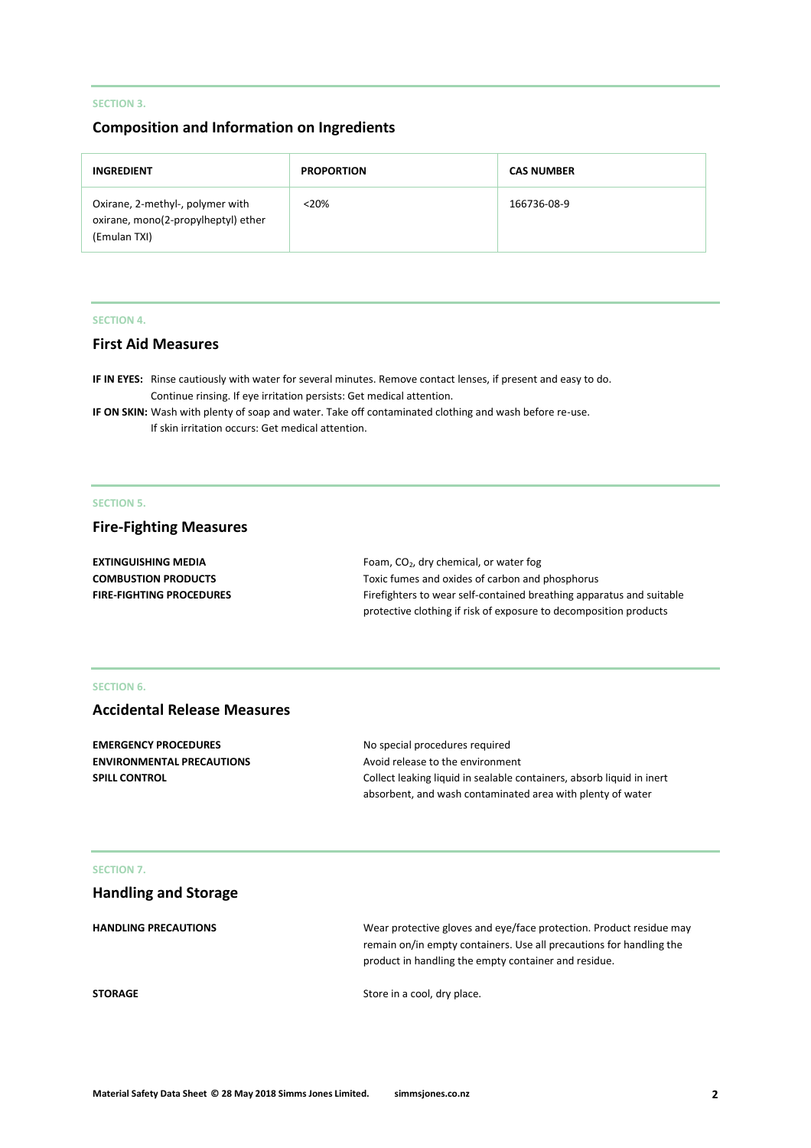# **SECTION 3.**

# **Composition and Information on Ingredients**

| <b>INGREDIENT</b>                                                                       | <b>PROPORTION</b> | <b>CAS NUMBER</b> |
|-----------------------------------------------------------------------------------------|-------------------|-------------------|
| Oxirane, 2-methyl-, polymer with<br>oxirane, mono(2-propylheptyl) ether<br>(Emulan TXI) | $<20\%$           | 166736-08-9       |

## **SECTION 4.**

# **First Aid Measures**

**IF IN EYES:** Rinse cautiously with water for several minutes. Remove contact lenses, if present and easy to do. Continue rinsing. If eye irritation persists: Get medical attention.

**IF ON SKIN:** Wash with plenty of soap and water. Take off contaminated clothing and wash before re-use. If skin irritation occurs: Get medical attention.

## **SECTION 5.**

# **Fire-Fighting Measures**

| <b>EXTINGUISHING MEDIA</b>      | Foam, $CO2$ , dry chemical, or water fog                             |
|---------------------------------|----------------------------------------------------------------------|
| <b>COMBUSTION PRODUCTS</b>      | Toxic fumes and oxides of carbon and phosphorus                      |
| <b>FIRE-FIGHTING PROCEDURES</b> | Firefighters to wear self-contained breathing apparatus and suitable |
|                                 | protective clothing if risk of exposure to decomposition products    |

## **SECTION 6.**

# **Accidental Release Measures**

| No special procedures required                                        |
|-----------------------------------------------------------------------|
| Avoid release to the environment                                      |
| Collect leaking liquid in sealable containers, absorb liquid in inert |
| absorbent, and wash contaminated area with plenty of water            |
|                                                                       |

#### **SECTION 7.**

| <b>Handling and Storage</b> |                                                                                                                                                                                                    |
|-----------------------------|----------------------------------------------------------------------------------------------------------------------------------------------------------------------------------------------------|
| <b>HANDLING PRECAUTIONS</b> | Wear protective gloves and eye/face protection. Product residue may<br>remain on/in empty containers. Use all precautions for handling the<br>product in handling the empty container and residue. |
| <b>STORAGE</b>              | Store in a cool, dry place.                                                                                                                                                                        |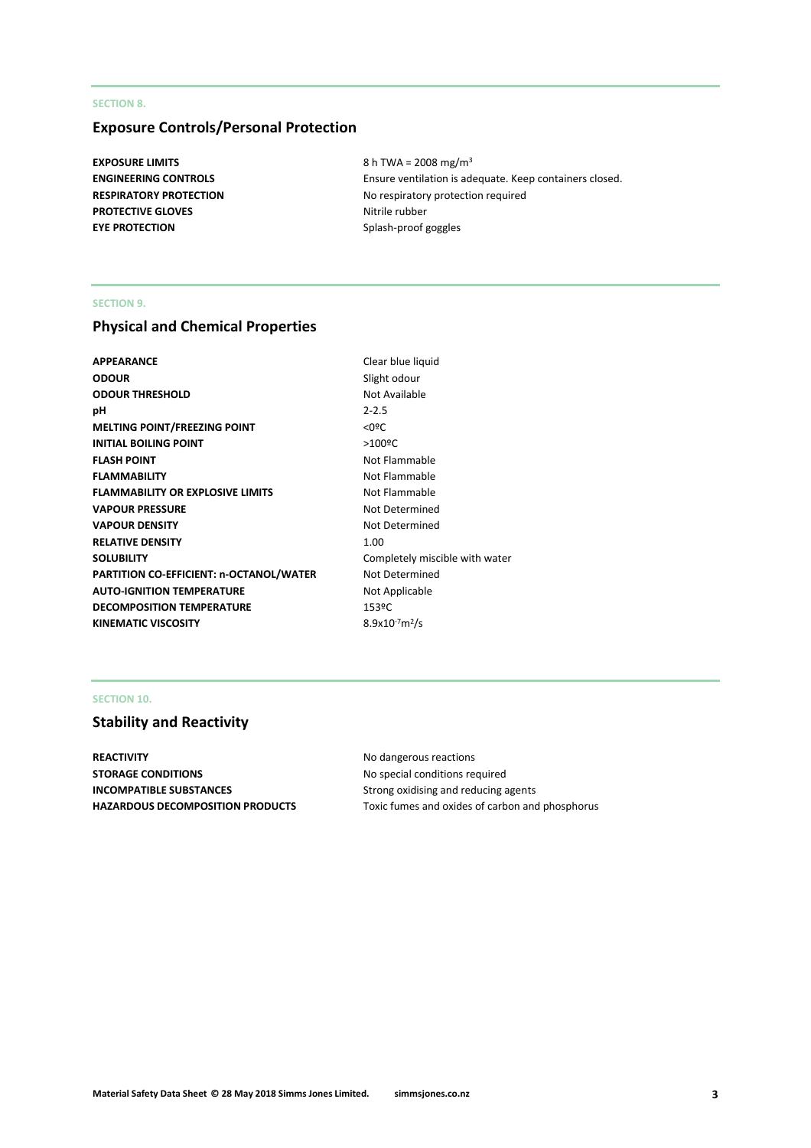## **SECTION 8.**

# **Exposure Controls/Personal Protection**

**PROTECTIVE GLOVES** Nitrile rubber **EYE PROTECTION** Splash-proof goggles

**EXPOSURE LIMITS** 8 h TWA = 2008 mg/m<sup>3</sup> **ENGINEERING CONTROLS** Ensure ventilation is adequate. Keep containers closed. **RESPIRATORY PROTECTION** No respiratory protection required

### **SECTION 9.**

# **Physical and Chemical Properties**

| Clear blue lic        |
|-----------------------|
| Slight odour          |
| Not Available         |
| $2 - 2.5$             |
| $<$ 0ºC               |
| $>100$ <sup>o</sup> C |
| Not Flammal           |
| Not Flammal           |
| Not Flammal           |
| Not Determi           |
| Not Determi           |
| 1.00                  |
| Completely r          |
| Not Determi           |
| Not Applicab          |
| 153ºC                 |
| $8.9x10^{-7}m^2/s$    |
|                       |

**Clear blue liquid Slight odour Not Available Not Flammable Not Flammable Not Flammable Not Determined Not Determined** Completely miscible with water **Not Determined Not Applicable** 

## **SECTION 10.**

# **Stability and Reactivity**

**REACTIVITY** No dangerous reactions **STORAGE CONDITIONS** No special conditions required **INCOMPATIBLE SUBSTANCES** Strong oxidising and reducing agents **HAZARDOUS DECOMPOSITION PRODUCTS** Toxic fumes and oxides of carbon and phosphorus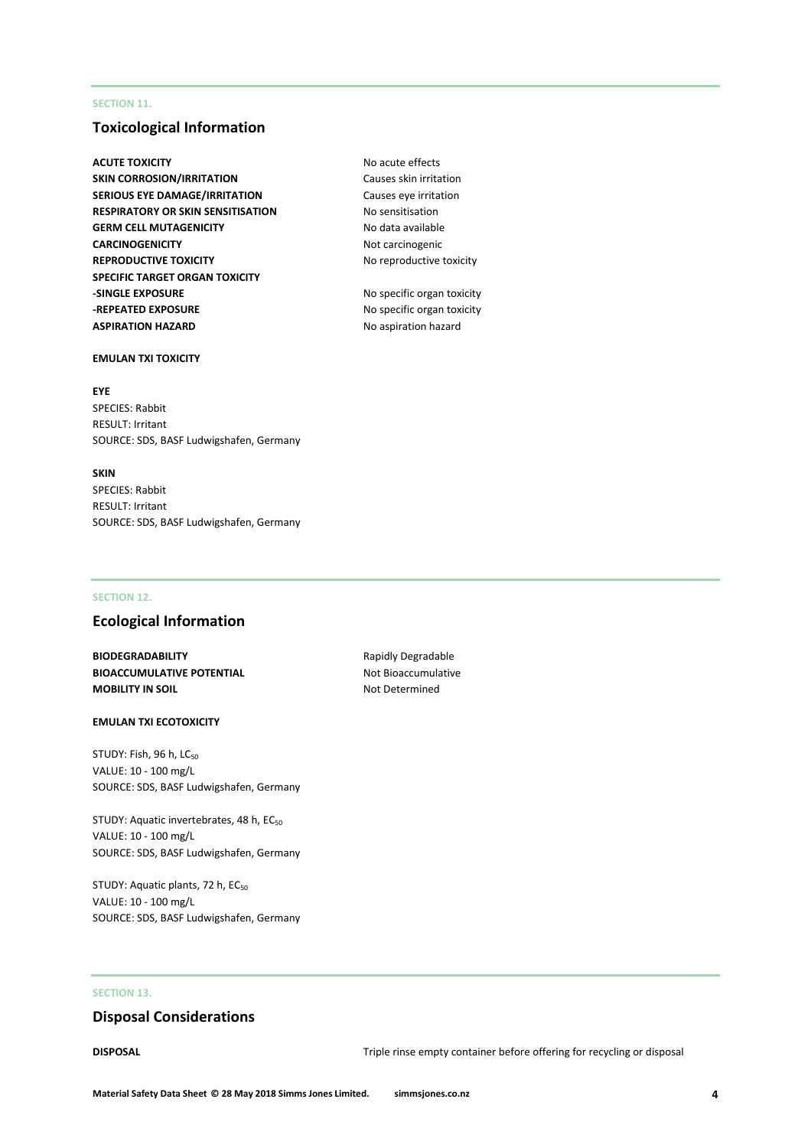## **SECTION 11.**

# **Toxicological Information**

**ACUTE TOXICITY** ACUTE **NO ACUTE TOXICITY SKIN CORROSION/IRRITATION** Causes skin irritation **SERIOUS EYE DAMAGE/IRRITATION** Causes eye irritation **RESPIRATORY OR SKIN SENSITISATION No sensitisation** GERM CELL MUTAGENICITY **No data available CARCINOGENICITY** Not carcinogenic **REPRODUCTIVE TOXICITY** No reproductive toxicity **SPECIFIC TARGET ORGAN TOXICITY -SINGLE EXPOSURE** No specific organ toxicity **-REPEATED EXPOSURE** No specific organ toxicity **ASPIRATION HAZARD** No aspiration hazard

# **EMULAN TXI TOXICITY**

#### **EYE**

SPECIES: Rabbit RESULT: Irritant SOURCE: SDS, BASF Ludwigshafen, Germany

#### **SKIN**

SPECIES: Rabbit RESULT: Irritant SOURCE: SDS, BASF Ludwigshafen, Germany

#### **SECTION 12.**

# **Ecological Information**

**BIODEGRADABILITY** Rapidly Degradable **BIOACCUMULATIVE POTENTIAL** Not Bioaccumulative **MOBILITY IN SOIL** Not Determined

#### **EMULAN TXI ECOTOXICITY**

STUDY: Fish, 96 h, LC<sub>50</sub> VALUE: 10 - 100 mg/L SOURCE: SDS, BASF Ludwigshafen, Germany

STUDY: Aquatic invertebrates, 48 h, EC<sub>50</sub> VALUE: 10 - 100 mg/L SOURCE: SDS, BASF Ludwigshafen, Germany

STUDY: Aquatic plants, 72 h, EC<sub>50</sub> VALUE: 10 - 100 mg/L SOURCE: SDS, BASF Ludwigshafen, Germany

# **SECTION 13.**

# **Disposal Considerations**

**DISPOSAL** DISPOSAL **DISPOSAL Triple rinse empty container before offering for recycling or disposal**